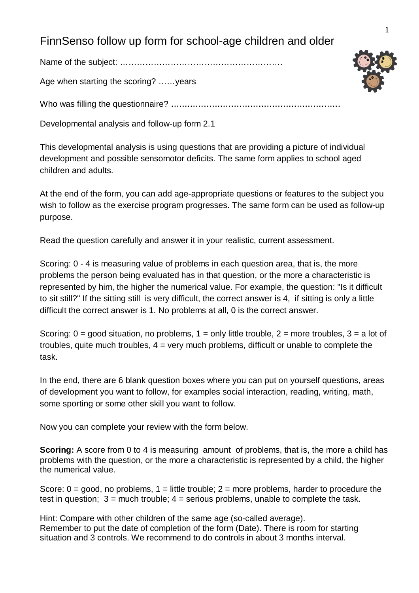## FinnSenso follow up form for school-age children and older

Name of the subject: ………………………………………………….

Age when starting the scoring? ……years

Who was filling the questionnaire? ..............................................................

Developmental analysis and follow-up form 2.1

This developmental analysis is using questions that are providing a picture of individual development and possible sensomotor deficits. The same form applies to school aged children and adults.

At the end of the form, you can add age-appropriate questions or features to the subject you wish to follow as the exercise program progresses. The same form can be used as follow-up purpose.

Read the question carefully and answer it in your realistic, current assessment.

Scoring: 0 - 4 is measuring value of problems in each question area, that is, the more problems the person being evaluated has in that question, or the more a characteristic is represented by him, the higher the numerical value. For example, the question: "Is it difficult to sit still?" If the sitting still is very difficult, the correct answer is 4, if sitting is only a little difficult the correct answer is 1. No problems at all, 0 is the correct answer.

Scoring:  $0 =$  good situation, no problems,  $1 =$  only little trouble,  $2 =$  more troubles,  $3 =$  a lot of troubles, quite much troubles,  $4 = \text{very much problems}$ , difficult or unable to complete the task.

In the end, there are 6 blank question boxes where you can put on yourself questions, areas of development you want to follow, for examples social interaction, reading, writing, math, some sporting or some other skill you want to follow.

Now you can complete your review with the form below.

**Scoring:** A score from 0 to 4 is measuring amount of problems, that is, the more a child has problems with the question, or the more a characteristic is represented by a child, the higher the numerical value.

Score:  $0 =$  good, no problems,  $1 =$  little trouble;  $2 =$  more problems, harder to procedure the test in question;  $3 =$  much trouble;  $4 =$  serious problems, unable to complete the task.

Hint: Compare with other children of the same age (so-called average). Remember to put the date of completion of the form (Date). There is room for starting situation and 3 controls. We recommend to do controls in about 3 months interval.

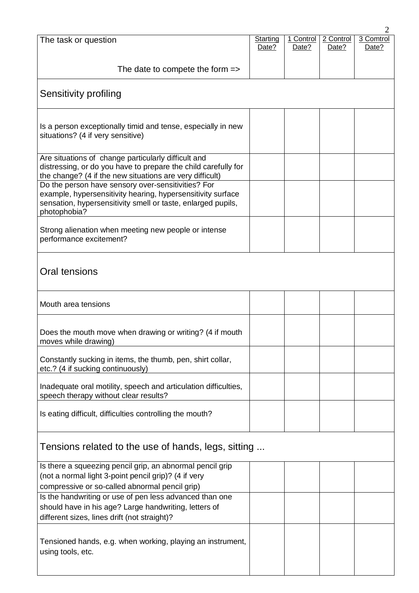|                                                                                                                                                                                                   |                 |           |           | 2         |
|---------------------------------------------------------------------------------------------------------------------------------------------------------------------------------------------------|-----------------|-----------|-----------|-----------|
| The task or question                                                                                                                                                                              | <b>Starting</b> | 1 Control | 2 Control | 3 Comtrol |
|                                                                                                                                                                                                   | Date?           | Date?     | Date?     | Date?     |
| The date to compete the form $\Rightarrow$                                                                                                                                                        |                 |           |           |           |
| Sensitivity profiling                                                                                                                                                                             |                 |           |           |           |
| Is a person exceptionally timid and tense, especially in new<br>situations? (4 if very sensitive)                                                                                                 |                 |           |           |           |
| Are situations of change particularly difficult and<br>distressing, or do you have to prepare the child carefully for<br>the change? (4 if the new situations are very difficult)                 |                 |           |           |           |
| Do the person have sensory over-sensitivities? For<br>example, hypersensitivity hearing, hypersensitivity surface<br>sensation, hypersensitivity smell or taste, enlarged pupils,<br>photophobia? |                 |           |           |           |
| Strong alienation when meeting new people or intense<br>performance excitement?                                                                                                                   |                 |           |           |           |
| Oral tensions                                                                                                                                                                                     |                 |           |           |           |
| Mouth area tensions                                                                                                                                                                               |                 |           |           |           |
| Does the mouth move when drawing or writing? (4 if mouth<br>moves while drawing)                                                                                                                  |                 |           |           |           |
| Constantly sucking in items, the thumb, pen, shirt collar,<br>etc.? (4 if sucking continuously)                                                                                                   |                 |           |           |           |
| Inadequate oral motility, speech and articulation difficulties,<br>speech therapy without clear results?                                                                                          |                 |           |           |           |
| Is eating difficult, difficulties controlling the mouth?                                                                                                                                          |                 |           |           |           |
| Tensions related to the use of hands, legs, sitting                                                                                                                                               |                 |           |           |           |
| Is there a squeezing pencil grip, an abnormal pencil grip<br>(not a normal light 3-point pencil grip)? (4 if very<br>compressive or so-called abnormal pencil grip)                               |                 |           |           |           |
| Is the handwriting or use of pen less advanced than one<br>should have in his age? Large handwriting, letters of<br>different sizes, lines drift (not straight)?                                  |                 |           |           |           |
| Tensioned hands, e.g. when working, playing an instrument,<br>using tools, etc.                                                                                                                   |                 |           |           |           |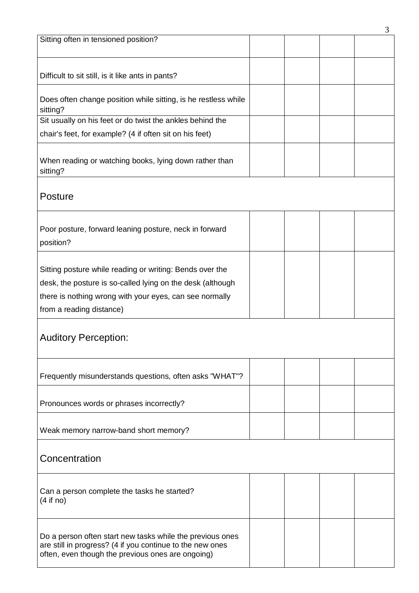|                                                                                                                                                                                   |  | 3 |
|-----------------------------------------------------------------------------------------------------------------------------------------------------------------------------------|--|---|
| Sitting often in tensioned position?                                                                                                                                              |  |   |
| Difficult to sit still, is it like ants in pants?                                                                                                                                 |  |   |
| Does often change position while sitting, is he restless while<br>sitting?                                                                                                        |  |   |
| Sit usually on his feet or do twist the ankles behind the                                                                                                                         |  |   |
| chair's feet, for example? (4 if often sit on his feet)                                                                                                                           |  |   |
| When reading or watching books, lying down rather than<br>sitting?                                                                                                                |  |   |
| Posture                                                                                                                                                                           |  |   |
| Poor posture, forward leaning posture, neck in forward<br>position?                                                                                                               |  |   |
| Sitting posture while reading or writing: Bends over the<br>desk, the posture is so-called lying on the desk (although<br>there is nothing wrong with your eyes, can see normally |  |   |
| from a reading distance)                                                                                                                                                          |  |   |
| <b>Auditory Perception:</b>                                                                                                                                                       |  |   |
| Frequently misunderstands questions, often asks "WHAT"?                                                                                                                           |  |   |
| Pronounces words or phrases incorrectly?                                                                                                                                          |  |   |
| Weak memory narrow-band short memory?                                                                                                                                             |  |   |
| Concentration                                                                                                                                                                     |  |   |
| Can a person complete the tasks he started?<br>(4 if no)                                                                                                                          |  |   |
| Do a person often start new tasks while the previous ones<br>are still in progress? (4 if you continue to the new ones<br>often, even though the previous ones are ongoing)       |  |   |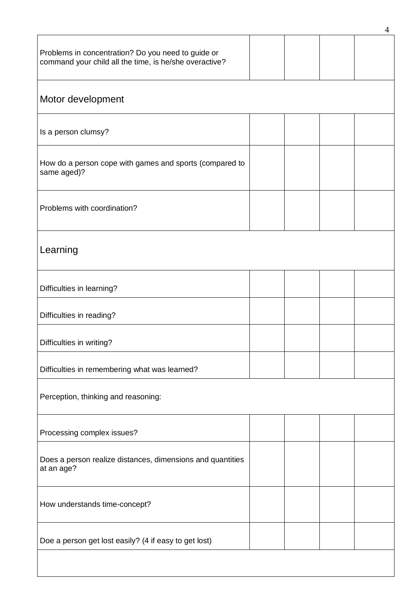|                                                                                                              |  |  |  | 4 |
|--------------------------------------------------------------------------------------------------------------|--|--|--|---|
| Problems in concentration? Do you need to guide or<br>command your child all the time, is he/she overactive? |  |  |  |   |
| Motor development                                                                                            |  |  |  |   |
| Is a person clumsy?                                                                                          |  |  |  |   |
| How do a person cope with games and sports (compared to<br>same aged)?                                       |  |  |  |   |
| Problems with coordination?                                                                                  |  |  |  |   |
| Learning                                                                                                     |  |  |  |   |
| Difficulties in learning?                                                                                    |  |  |  |   |
| Difficulties in reading?                                                                                     |  |  |  |   |
| Difficulties in writing?                                                                                     |  |  |  |   |
| Difficulties in remembering what was learned?                                                                |  |  |  |   |
| Perception, thinking and reasoning:                                                                          |  |  |  |   |
| Processing complex issues?                                                                                   |  |  |  |   |
| Does a person realize distances, dimensions and quantities<br>at an age?                                     |  |  |  |   |
| How understands time-concept?                                                                                |  |  |  |   |
| Doe a person get lost easily? (4 if easy to get lost)                                                        |  |  |  |   |
|                                                                                                              |  |  |  |   |